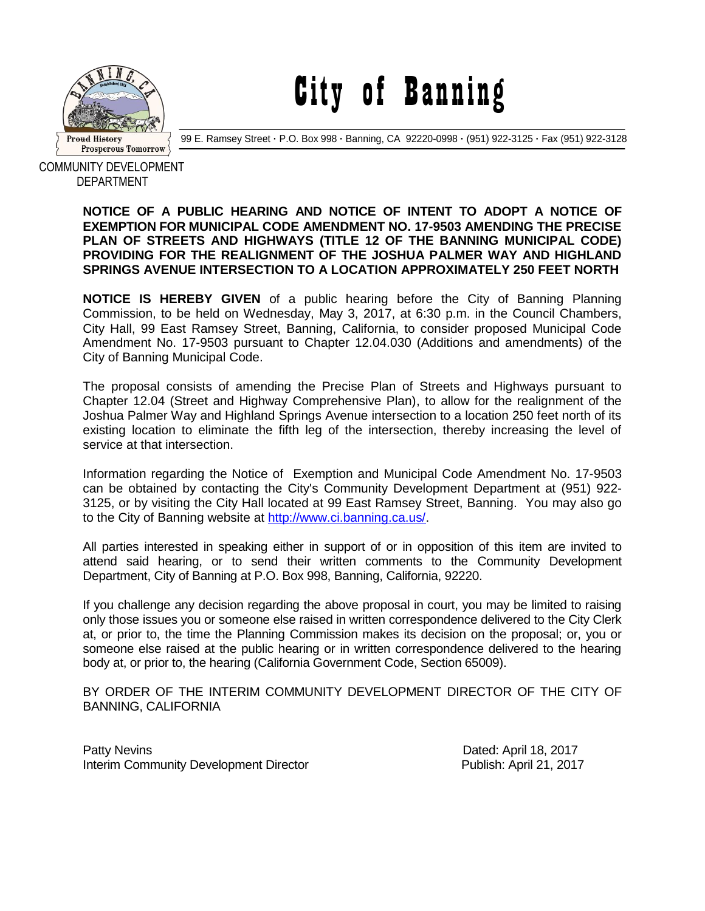

City of Banning

99 E. Ramsey Street **·** P.O. Box 998 **·** Banning, CA 92220-0998 **·** (951) 922-3125 **·** Fax (951) 922-3128

COMMUNITY DEVELOPMENT DEPARTMENT

## **NOTICE OF A PUBLIC HEARING AND NOTICE OF INTENT TO ADOPT A NOTICE OF EXEMPTION FOR MUNICIPAL CODE AMENDMENT NO. 17-9503 AMENDING THE PRECISE PLAN OF STREETS AND HIGHWAYS (TITLE 12 OF THE BANNING MUNICIPAL CODE) PROVIDING FOR THE REALIGNMENT OF THE JOSHUA PALMER WAY AND HIGHLAND SPRINGS AVENUE INTERSECTION TO A LOCATION APPROXIMATELY 250 FEET NORTH**

**NOTICE IS HEREBY GIVEN** of a public hearing before the City of Banning Planning Commission, to be held on Wednesday, May 3, 2017, at 6:30 p.m. in the Council Chambers, City Hall, 99 East Ramsey Street, Banning, California, to consider proposed Municipal Code Amendment No. 17-9503 pursuant to Chapter 12.04.030 (Additions and amendments) of the City of Banning Municipal Code.

The proposal consists of amending the Precise Plan of Streets and Highways pursuant to Chapter 12.04 (Street and Highway Comprehensive Plan), to allow for the realignment of the Joshua Palmer Way and Highland Springs Avenue intersection to a location 250 feet north of its existing location to eliminate the fifth leg of the intersection, thereby increasing the level of service at that intersection.

Information regarding the Notice of Exemption and Municipal Code Amendment No. 17-9503 can be obtained by contacting the City's Community Development Department at (951) 922- 3125, or by visiting the City Hall located at 99 East Ramsey Street, Banning. You may also go to the City of Banning website at [http://www.ci.banning.ca.us/.](http://www.ci.banning.ca.us/)

All parties interested in speaking either in support of or in opposition of this item are invited to attend said hearing, or to send their written comments to the Community Development Department, City of Banning at P.O. Box 998, Banning, California, 92220.

If you challenge any decision regarding the above proposal in court, you may be limited to raising only those issues you or someone else raised in written correspondence delivered to the City Clerk at, or prior to, the time the Planning Commission makes its decision on the proposal; or, you or someone else raised at the public hearing or in written correspondence delivered to the hearing body at, or prior to, the hearing (California Government Code, Section 65009).

BY ORDER OF THE INTERIM COMMUNITY DEVELOPMENT DIRECTOR OF THE CITY OF BANNING, CALIFORNIA

Patty Nevins **Patty News** 2017 Interim Community Development Director **Publish:** April 21, 2017